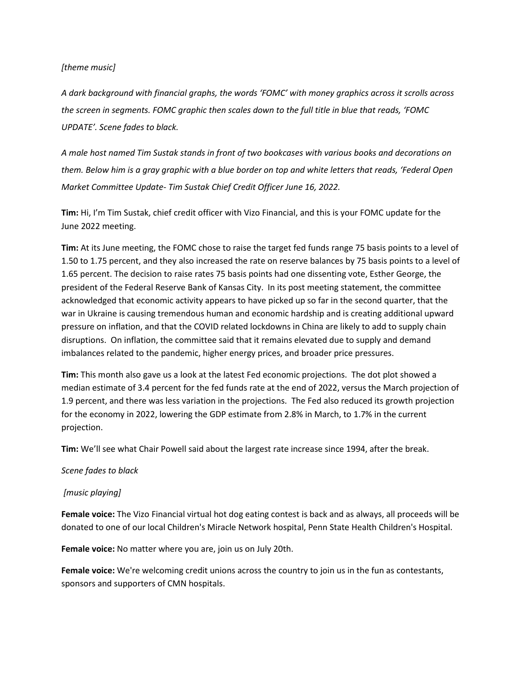### *[theme music]*

*A dark background with financial graphs, the words 'FOMC' with money graphics across it scrolls across the screen in segments. FOMC graphic then scales down to the full title in blue that reads, 'FOMC UPDATE'. Scene fades to black.*

*A male host named Tim Sustak stands in front of two bookcases with various books and decorations on them. Below him is a gray graphic with a blue border on top and white letters that reads, 'Federal Open Market Committee Update- Tim Sustak Chief Credit Officer June 16, 2022.* 

**Tim:** Hi, I'm Tim Sustak, chief credit officer with Vizo Financial, and this is your FOMC update for the June 2022 meeting.

**Tim:** At its June meeting, the FOMC chose to raise the target fed funds range 75 basis points to a level of 1.50 to 1.75 percent, and they also increased the rate on reserve balances by 75 basis points to a level of 1.65 percent. The decision to raise rates 75 basis points had one dissenting vote, Esther George, the president of the Federal Reserve Bank of Kansas City. In its post meeting statement, the committee acknowledged that economic activity appears to have picked up so far in the second quarter, that the war in Ukraine is causing tremendous human and economic hardship and is creating additional upward pressure on inflation, and that the COVID related lockdowns in China are likely to add to supply chain disruptions. On inflation, the committee said that it remains elevated due to supply and demand imbalances related to the pandemic, higher energy prices, and broader price pressures.

**Tim:** This month also gave us a look at the latest Fed economic projections. The dot plot showed a median estimate of 3.4 percent for the fed funds rate at the end of 2022, versus the March projection of 1.9 percent, and there was less variation in the projections. The Fed also reduced its growth projection for the economy in 2022, lowering the GDP estimate from 2.8% in March, to 1.7% in the current projection.

**Tim:** We'll see what Chair Powell said about the largest rate increase since 1994, after the break.

# *Scene fades to black*

# *[music playing]*

**Female voice:** The Vizo Financial virtual hot dog eating contest is back and as always, all proceeds will be donated to one of our local Children's Miracle Network hospital, Penn State Health Children's Hospital.

**Female voice:** No matter where you are, join us on July 20th.

**Female voice:** We're welcoming credit unions across the country to join us in the fun as contestants, sponsors and supporters of CMN hospitals.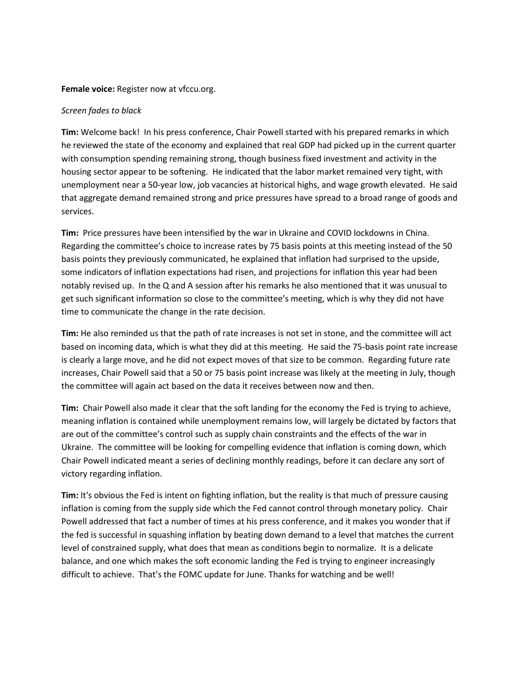#### **Female voice:** Register now at vfccu.org.

### *Screen fades to black*

**Tim:** Welcome back! In his press conference, Chair Powell started with his prepared remarks in which he reviewed the state of the economy and explained that real GDP had picked up in the current quarter with consumption spending remaining strong, though business fixed investment and activity in the housing sector appear to be softening. He indicated that the labor market remained very tight, with unemployment near a 50-year low, job vacancies at historical highs, and wage growth elevated. He said that aggregate demand remained strong and price pressures have spread to a broad range of goods and services.

**Tim:** Price pressures have been intensified by the war in Ukraine and COVID lockdowns in China. Regarding the committee's choice to increase rates by 75 basis points at this meeting instead of the 50 basis points they previously communicated, he explained that inflation had surprised to the upside, some indicators of inflation expectations had risen, and projections for inflation this year had been notably revised up. In the Q and A session after his remarks he also mentioned that it was unusual to get such significant information so close to the committee's meeting, which is why they did not have time to communicate the change in the rate decision.

**Tim:** He also reminded us that the path of rate increases is not set in stone, and the committee will act based on incoming data, which is what they did at this meeting. He said the 75-basis point rate increase is clearly a large move, and he did not expect moves of that size to be common. Regarding future rate increases, Chair Powell said that a 50 or 75 basis point increase was likely at the meeting in July, though the committee will again act based on the data it receives between now and then.

**Tim:** Chair Powell also made it clear that the soft landing for the economy the Fed is trying to achieve, meaning inflation is contained while unemployment remains low, will largely be dictated by factors that are out of the committee's control such as supply chain constraints and the effects of the war in Ukraine. The committee will be looking for compelling evidence that inflation is coming down, which Chair Powell indicated meant a series of declining monthly readings, before it can declare any sort of victory regarding inflation.

**Tim:** It's obvious the Fed is intent on fighting inflation, but the reality is that much of pressure causing inflation is coming from the supply side which the Fed cannot control through monetary policy. Chair Powell addressed that fact a number of times at his press conference, and it makes you wonder that if the fed is successful in squashing inflation by beating down demand to a level that matches the current level of constrained supply, what does that mean as conditions begin to normalize. It is a delicate balance, and one which makes the soft economic landing the Fed is trying to engineer increasingly difficult to achieve. That's the FOMC update for June. Thanks for watching and be well!